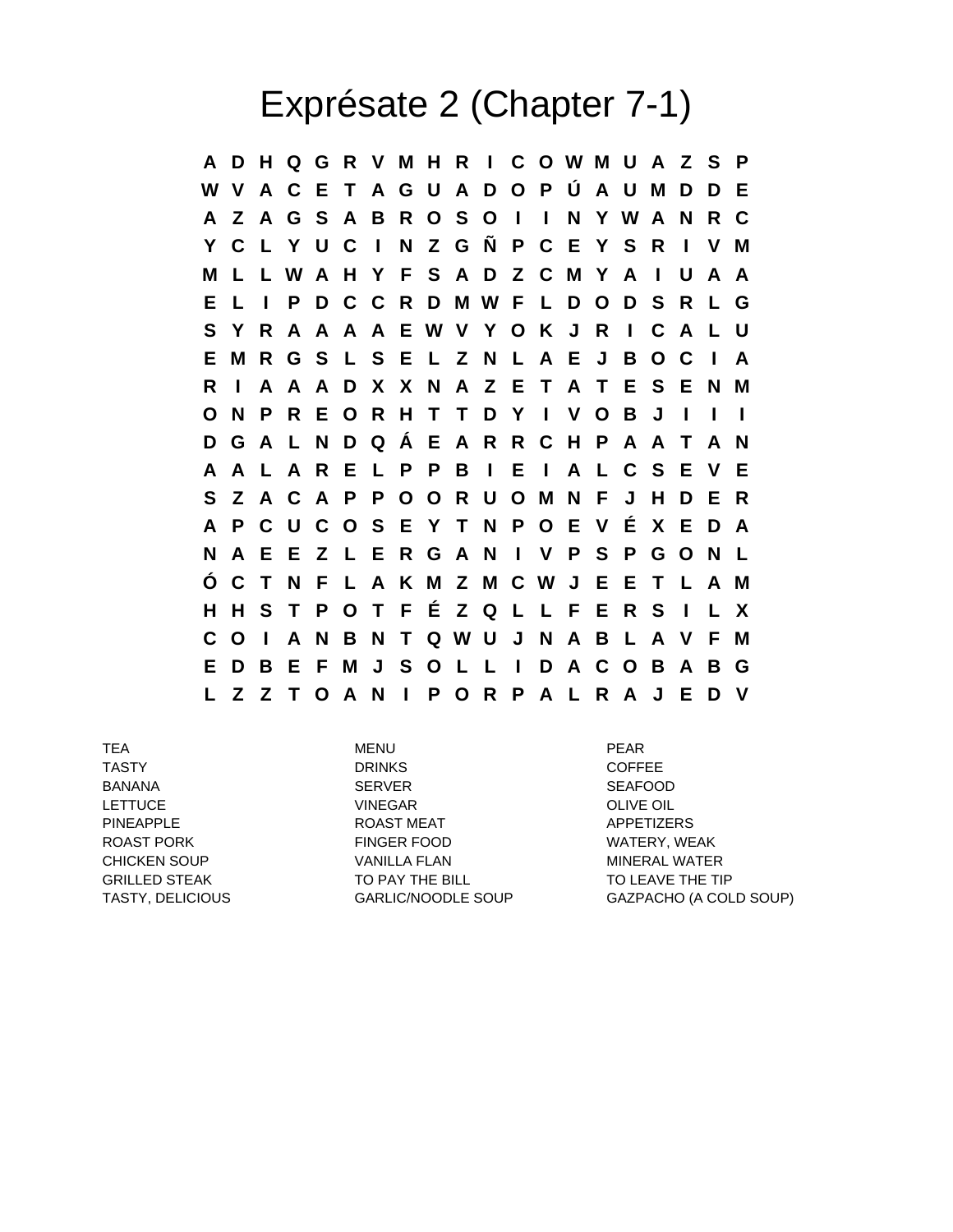## Exprésate 2 (Chapter 7-1)

**A D H Q G R V M H R I C O W M U A Z S P W V A C E T A G U A D O P Ú A U M D D E A Z A G S A B R O S O I I N Y W A N R C Y C L Y U C I N Z G Ñ P C E Y S R I V M M L L W A H Y F S A D Z C M Y A I U A A E L I P D C C R D M W F L D O D S R L G S Y R A A A A E W V Y O K J R I C A L U E M R G S L S E L Z N L A E J B O C I A R I A A A D X X N A Z E T A T E S E N M O N P R E O R H T T D Y I V O B J I I I D G A L N D Q Á E A R R C H P A A T A N A A L A R E L P P B I E I A L C S E V E S Z A C A P P O O R U O M N F J H D E R A P C U C O S E Y T N P O E V É X E D A N A E E Z L E R G A N I V P S P G O N L Ó C T N F L A K M Z M C W J E E T L A M H H S T P O T F É Z Q L L F E R S I L X C O I A N B N T Q W U J N A B L A V F M E D B E F M J S O L L I D A C O B A B G L Z Z T O A N I P O R P A L R A J E D V**

TEA MENU PEAR TASTY DRINKS COFFEE BANANA SERVER SERVER SEAFOOD LETTUCE VINEGAR OLIVE OIL PINEAPPLE ROAST MEAT APPETIZERS ROAST PORK FINGER FOOD WATERY, WEAK CHICKEN SOUP VANILLA FLAN MINERAL WATER GRILLED STEAK TO PAY THE BILL TO LEAVE THE TIP

TASTY, DELICIOUS GARLIC/NOODLE SOUP GAZPACHO (A COLD SOUP)